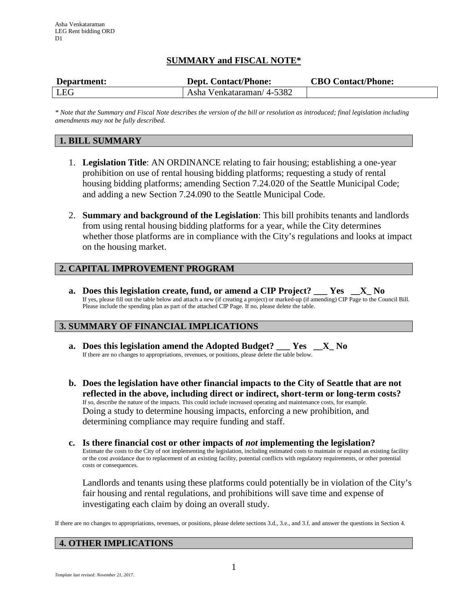# **SUMMARY and FISCAL NOTE\***

| Department: | <b>Dept. Contact/Phone:</b> | <b>CBO Contact/Phone:</b> |
|-------------|-----------------------------|---------------------------|
| <b>LEG</b>  | Asha Venkataraman/4-5382    |                           |

*\* Note that the Summary and Fiscal Note describes the version of the bill or resolution as introduced; final legislation including amendments may not be fully described.*

## **1. BILL SUMMARY**

- 1. **Legislation Title**: AN ORDINANCE relating to fair housing; establishing a one-year prohibition on use of rental housing bidding platforms; requesting a study of rental housing bidding platforms; amending Section 7.24.020 of the Seattle Municipal Code; and adding a new Section 7.24.090 to the Seattle Municipal Code.
- 2. **Summary and background of the Legislation**: This bill prohibits tenants and landlords from using rental housing bidding platforms for a year, while the City determines whether those platforms are in compliance with the City's regulations and looks at impact on the housing market.

# **2. CAPITAL IMPROVEMENT PROGRAM**

**a. Does this legislation create, fund, or amend a CIP Project? \_\_\_ Yes \_\_X\_ No** If yes, please fill out the table below and attach a new (if creating a project) or marked-up (if amending) CIP Page to the Council Bill. Please include the spending plan as part of the attached CIP Page. If no, please delete the table.

## **3. SUMMARY OF FINANCIAL IMPLICATIONS**

- **a. Does this legislation amend the Adopted Budget? \_\_\_ Yes \_\_X\_ No** If there are no changes to appropriations, revenues, or positions, please delete the table below.
- **b. Does the legislation have other financial impacts to the City of Seattle that are not reflected in the above, including direct or indirect, short-term or long-term costs?** If so, describe the nature of the impacts. This could include increased operating and maintenance costs, for example. Doing a study to determine housing impacts, enforcing a new prohibition, and determining compliance may require funding and staff.
- **c. Is there financial cost or other impacts of** *not* **implementing the legislation?** Estimate the costs to the City of not implementing the legislation, including estimated costs to maintain or expand an existing facility or the cost avoidance due to replacement of an existing facility, potential conflicts with regulatory requirements, or other potential costs or consequences.

Landlords and tenants using these platforms could potentially be in violation of the City's fair housing and rental regulations, and prohibitions will save time and expense of investigating each claim by doing an overall study.

If there are no changes to appropriations, revenues, or positions, please delete sections 3.d., 3.e., and 3.f. and answer the questions in Section 4.

## **4. OTHER IMPLICATIONS**